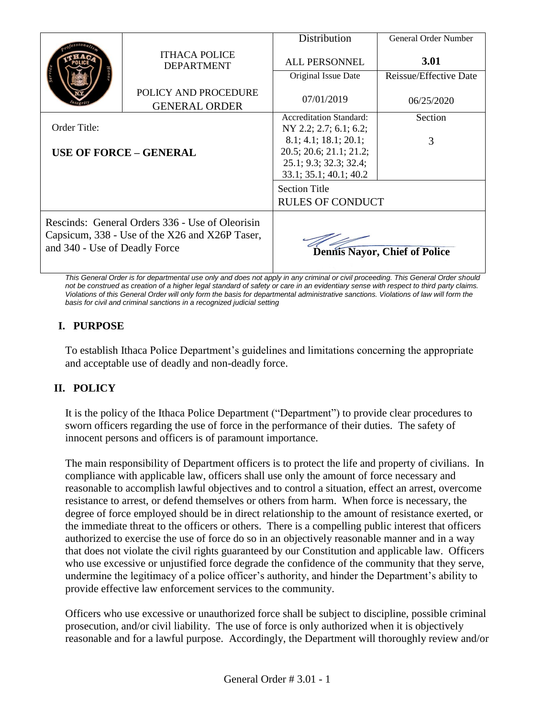|                                                                                                                                    |                                              | <b>Distribution</b>            | General Order Number                 |
|------------------------------------------------------------------------------------------------------------------------------------|----------------------------------------------|--------------------------------|--------------------------------------|
|                                                                                                                                    | <b>ITHACA POLICE</b><br><b>DEPARTMENT</b>    | <b>ALL PERSONNEL</b>           | <b>3.01</b>                          |
|                                                                                                                                    |                                              | Original Issue Date            | Reissue/Effective Date               |
|                                                                                                                                    | POLICY AND PROCEDURE<br><b>GENERAL ORDER</b> | 07/01/2019                     | 06/25/2020                           |
|                                                                                                                                    |                                              | <b>Accreditation Standard:</b> | Section                              |
| Order Title:<br><b>USE OF FORCE - GENERAL</b>                                                                                      |                                              | NY 2.2; 2.7; 6.1; 6.2;         |                                      |
|                                                                                                                                    |                                              | 8.1; 4.1; 18.1; 20.1;          | 3                                    |
|                                                                                                                                    |                                              | 20.5; 20.6; 21.1; 21.2;        |                                      |
|                                                                                                                                    |                                              | 25.1; 9.3; 32.3; 32.4;         |                                      |
|                                                                                                                                    |                                              | 33.1; 35.1; 40.1; 40.2         |                                      |
|                                                                                                                                    |                                              | <b>Section Title</b>           |                                      |
|                                                                                                                                    |                                              | <b>RULES OF CONDUCT</b>        |                                      |
| Rescinds: General Orders 336 - Use of Oleorisin<br>Capsicum, 338 - Use of the X26 and X26P Taser,<br>and 340 - Use of Deadly Force |                                              |                                | <b>Dennis Nayor, Chief of Police</b> |

*This General Order is for departmental use only and does not apply in any criminal or civil proceeding. This General Order should*  not be construed as creation of a higher legal standard of safety or care in an evidentiary sense with respect to third party claims. *Violations of this General Order will only form the basis for departmental administrative sanctions. Violations of law will form the basis for civil and criminal sanctions in a recognized judicial setting*

# **I. PURPOSE**

To establish Ithaca Police Department's guidelines and limitations concerning the appropriate and acceptable use of deadly and non-deadly force.

# **II. POLICY**

It is the policy of the Ithaca Police Department ("Department") to provide clear procedures to sworn officers regarding the use of force in the performance of their duties. The safety of innocent persons and officers is of paramount importance.

The main responsibility of Department officers is to protect the life and property of civilians. In compliance with applicable law, officers shall use only the amount of force necessary and reasonable to accomplish lawful objectives and to control a situation, effect an arrest, overcome resistance to arrest, or defend themselves or others from harm. When force is necessary, the degree of force employed should be in direct relationship to the amount of resistance exerted, or the immediate threat to the officers or others. There is a compelling public interest that officers authorized to exercise the use of force do so in an objectively reasonable manner and in a way that does not violate the civil rights guaranteed by our Constitution and applicable law. Officers who use excessive or unjustified force degrade the confidence of the community that they serve, undermine the legitimacy of a police officer's authority, and hinder the Department's ability to provide effective law enforcement services to the community.

Officers who use excessive or unauthorized force shall be subject to discipline, possible criminal prosecution, and/or civil liability. The use of force is only authorized when it is objectively reasonable and for a lawful purpose. Accordingly, the Department will thoroughly review and/or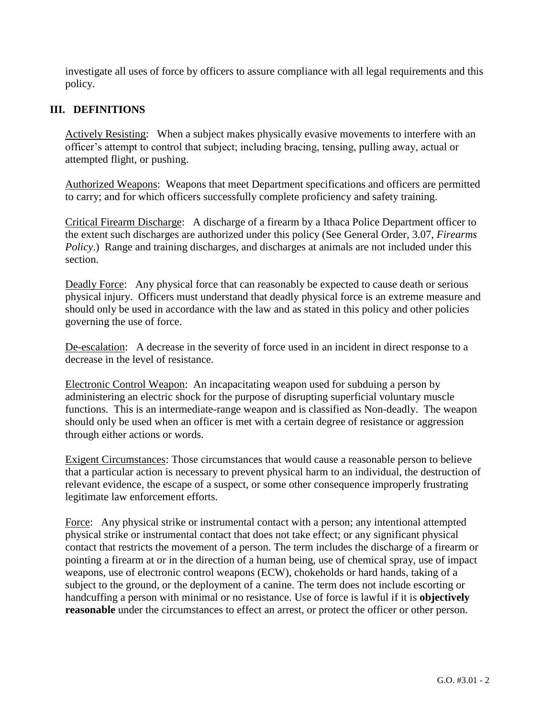investigate all uses of force by officers to assure compliance with all legal requirements and this policy.

# **III. DEFINITIONS**

Actively Resisting: When a subject makes physically evasive movements to interfere with an officer's attempt to control that subject; including bracing, tensing, pulling away, actual or attempted flight, or pushing.

Authorized Weapons: Weapons that meet Department specifications and officers are permitted to carry; and for which officers successfully complete proficiency and safety training.

Critical Firearm Discharge: A discharge of a firearm by a Ithaca Police Department officer to the extent such discharges are authorized under this policy (See General Order, 3.07, *Firearms Policy*.) Range and training discharges, and discharges at animals are not included under this section.

Deadly Force: Any physical force that can reasonably be expected to cause death or serious physical injury. Officers must understand that deadly physical force is an extreme measure and should only be used in accordance with the law and as stated in this policy and other policies governing the use of force.

De-escalation: A decrease in the severity of force used in an incident in direct response to a decrease in the level of resistance.

Electronic Control Weapon:An incapacitating weapon used for subduing a person by administering an electric shock for the purpose of disrupting superficial voluntary muscle functions. This is an intermediate-range weapon and is classified as Non-deadly. The weapon should only be used when an officer is met with a certain degree of resistance or aggression through either actions or words.

Exigent Circumstances: Those circumstances that would cause a reasonable person to believe that a particular action is necessary to prevent physical harm to an individual, the destruction of relevant evidence, the escape of a suspect, or some other consequence improperly frustrating legitimate law enforcement efforts.

Force: Any physical strike or instrumental contact with a person; any intentional attempted physical strike or instrumental contact that does not take effect; or any significant physical contact that restricts the movement of a person. The term includes the discharge of a firearm or pointing a firearm at or in the direction of a human being, use of chemical spray, use of impact weapons, use of electronic control weapons (ECW), chokeholds or hard hands, taking of a subject to the ground, or the deployment of a canine. The term does not include escorting or handcuffing a person with minimal or no resistance. Use of force is lawful if it is **objectively reasonable** under the circumstances to effect an arrest, or protect the officer or other person.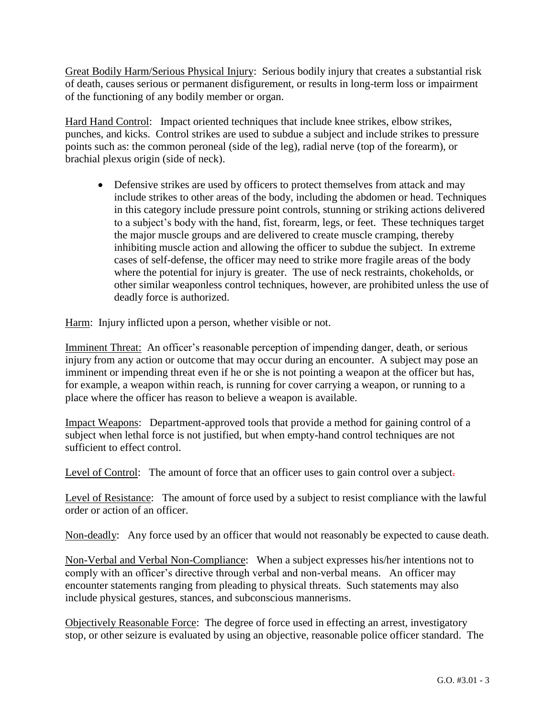Great Bodily Harm/Serious Physical Injury: Serious bodily injury that creates a substantial risk of death, causes serious or permanent disfigurement, or results in long-term loss or impairment of the functioning of any bodily member or organ.

Hard Hand Control: Impact oriented techniques that include knee strikes, elbow strikes, punches, and kicks. Control strikes are used to subdue a subject and include strikes to pressure points such as: the common peroneal (side of the leg), radial nerve (top of the forearm), or brachial plexus origin (side of neck).

• Defensive strikes are used by officers to protect themselves from attack and may include strikes to other areas of the body, including the abdomen or head. Techniques in this category include pressure point controls, stunning or striking actions delivered to a subject's body with the hand, fist, forearm, legs, or feet. These techniques target the major muscle groups and are delivered to create muscle cramping, thereby inhibiting muscle action and allowing the officer to subdue the subject. In extreme cases of self-defense, the officer may need to strike more fragile areas of the body where the potential for injury is greater. The use of neck restraints, chokeholds, or other similar weaponless control techniques, however, are prohibited unless the use of deadly force is authorized.

Harm: Injury inflicted upon a person, whether visible or not.

Imminent Threat: An officer's reasonable perception of impending danger, death, or serious injury from any action or outcome that may occur during an encounter. A subject may pose an imminent or impending threat even if he or she is not pointing a weapon at the officer but has, for example, a weapon within reach, is running for cover carrying a weapon, or running to a place where the officer has reason to believe a weapon is available.

Impact Weapons:Department-approved tools that provide a method for gaining control of a subject when lethal force is not justified, but when empty-hand control techniques are not sufficient to effect control.

Level of Control: The amount of force that an officer uses to gain control over a subject-

Level of Resistance: The amount of force used by a subject to resist compliance with the lawful order or action of an officer.

Non-deadly:Any force used by an officer that would not reasonably be expected to cause death.

Non-Verbal and Verbal Non-Compliance: When a subject expresses his/her intentions not to comply with an officer's directive through verbal and non-verbal means. An officer may encounter statements ranging from pleading to physical threats. Such statements may also include physical gestures, stances, and subconscious mannerisms.

Objectively Reasonable Force: The degree of force used in effecting an arrest, investigatory stop, or other seizure is evaluated by using an objective, reasonable police officer standard. The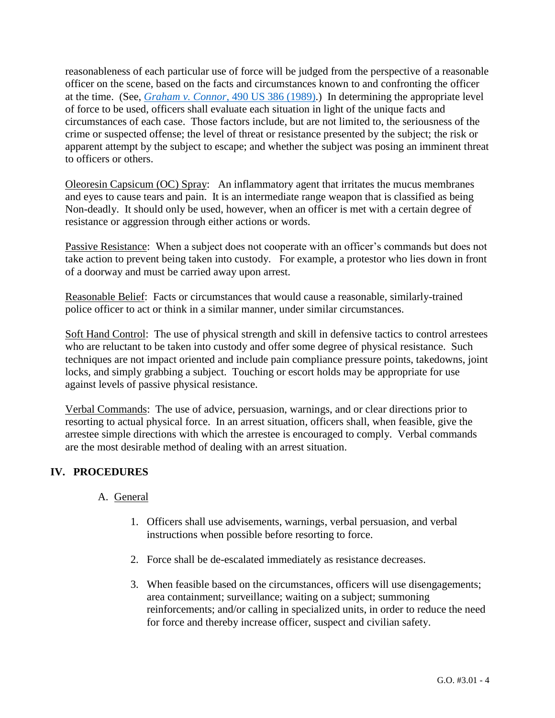reasonableness of each particular use of force will be judged from the perspective of a reasonable officer on the scene, based on the facts and circumstances known to and confronting the officer at the time. (See, *[Graham v. Connor](http://caselaw.findlaw.com/us-supreme-court/490/386.html)*, 490 US 386 (1989).) In determining the appropriate level of force to be used, officers shall evaluate each situation in light of the unique facts and circumstances of each case. Those factors include, but are not limited to, the seriousness of the crime or suspected offense; the level of threat or resistance presented by the subject; the risk or apparent attempt by the subject to escape; and whether the subject was posing an imminent threat to officers or others.

Oleoresin Capsicum (OC) Spray: An inflammatory agent that irritates the mucus membranes and eyes to cause tears and pain. It is an intermediate range weapon that is classified as being Non-deadly. It should only be used, however, when an officer is met with a certain degree of resistance or aggression through either actions or words.

Passive Resistance: When a subject does not cooperate with an officer's commands but does not take action to prevent being taken into custody. For example, a protestor who lies down in front of a doorway and must be carried away upon arrest.

Reasonable Belief: Facts or circumstances that would cause a reasonable, similarly-trained police officer to act or think in a similar manner, under similar circumstances.

Soft Hand Control: The use of physical strength and skill in defensive tactics to control arrestees who are reluctant to be taken into custody and offer some degree of physical resistance. Such techniques are not impact oriented and include pain compliance pressure points, takedowns, joint locks, and simply grabbing a subject. Touching or escort holds may be appropriate for use against levels of passive physical resistance.

Verbal Commands: The use of advice, persuasion, warnings, and or clear directions prior to resorting to actual physical force. In an arrest situation, officers shall, when feasible, give the arrestee simple directions with which the arrestee is encouraged to comply. Verbal commands are the most desirable method of dealing with an arrest situation.

# **IV. PROCEDURES**

# A. General

- 1. Officers shall use advisements, warnings, verbal persuasion, and verbal instructions when possible before resorting to force.
- 2. Force shall be de-escalated immediately as resistance decreases.
- 3. When feasible based on the circumstances, officers will use disengagements; area containment; surveillance; waiting on a subject; summoning reinforcements; and/or calling in specialized units, in order to reduce the need for force and thereby increase officer, suspect and civilian safety.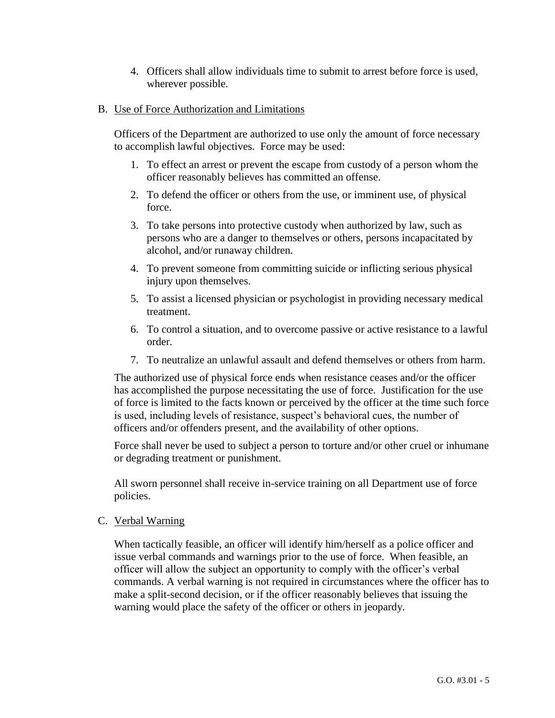4. Officers shall allow individuals time to submit to arrest before force is used, wherever possible.

### B. Use of Force Authorization and Limitations

Officers of the Department are authorized to use only the amount of force necessary to accomplish lawful objectives. Force may be used:

- 1. To effect an arrest or prevent the escape from custody of a person whom the officer reasonably believes has committed an offense.
- 2. To defend the officer or others from the use, or imminent use, of physical force.
- 3. To take persons into protective custody when authorized by law, such as persons who are a danger to themselves or others, persons incapacitated by alcohol, and/or runaway children.
- 4. To prevent someone from committing suicide or inflicting serious physical injury upon themselves.
- 5. To assist a licensed physician or psychologist in providing necessary medical treatment.
- 6. To control a situation, and to overcome passive or active resistance to a lawful order.
- 7. To neutralize an unlawful assault and defend themselves or others from harm.

The authorized use of physical force ends when resistance ceases and/or the officer has accomplished the purpose necessitating the use of force. Justification for the use of force is limited to the facts known or perceived by the officer at the time such force is used, including levels of resistance, suspect's behavioral cues, the number of officers and/or offenders present, and the availability of other options.

Force shall never be used to subject a person to torture and/or other cruel or inhumane or degrading treatment or punishment.

All sworn personnel shall receive in-service training on all Department use of force policies.

C. Verbal Warning

When tactically feasible, an officer will identify him/herself as a police officer and issue verbal commands and warnings prior to the use of force. When feasible, an officer will allow the subject an opportunity to comply with the officer's verbal commands. A verbal warning is not required in circumstances where the officer has to make a split-second decision, or if the officer reasonably believes that issuing the warning would place the safety of the officer or others in jeopardy.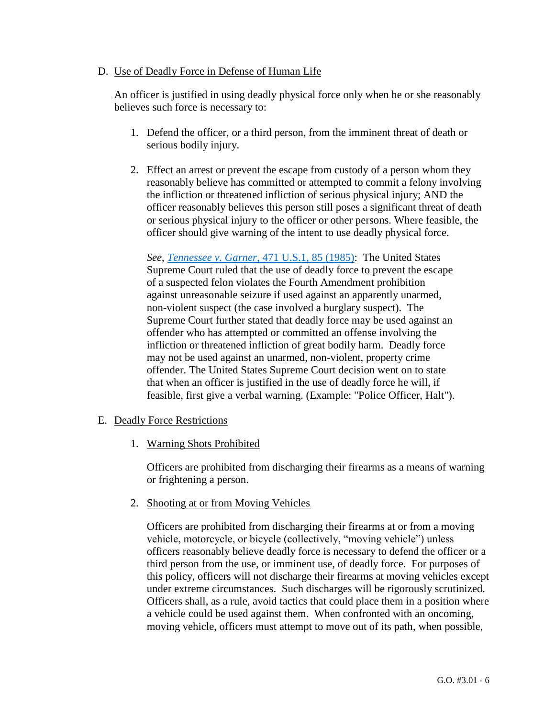#### D. Use of Deadly Force in Defense of Human Life

An officer is justified in using deadly physical force only when he or she reasonably believes such force is necessary to:

- 1. Defend the officer, or a third person, from the imminent threat of death or serious bodily injury.
- 2. Effect an arrest or prevent the escape from custody of a person whom they reasonably believe has committed or attempted to commit a felony involving the infliction or threatened infliction of serious physical injury; AND the officer reasonably believes this person still poses a significant threat of death or serious physical injury to the officer or other persons. Where feasible, the officer should give warning of the intent to use deadly physical force.

*See*, *Tennessee v. Garner*[, 471 U.S.1, 85 \(1985\):](http://caselaw.findlaw.com/us-supreme-court/471/1.html) The United States Supreme Court ruled that the use of deadly force to prevent the escape of a suspected felon violates the Fourth Amendment prohibition against unreasonable seizure if used against an apparently unarmed, non-violent suspect (the case involved a burglary suspect). The Supreme Court further stated that deadly force may be used against an offender who has attempted or committed an offense involving the infliction or threatened infliction of great bodily harm. Deadly force may not be used against an unarmed, non-violent, property crime offender. The United States Supreme Court decision went on to state that when an officer is justified in the use of deadly force he will, if feasible, first give a verbal warning. (Example: "Police Officer, Halt").

#### E. Deadly Force Restrictions

1. Warning Shots Prohibited

Officers are prohibited from discharging their firearms as a means of warning or frightening a person.

2. Shooting at or from Moving Vehicles

Officers are prohibited from discharging their firearms at or from a moving vehicle, motorcycle, or bicycle (collectively, "moving vehicle") unless officers reasonably believe deadly force is necessary to defend the officer or a third person from the use, or imminent use, of deadly force. For purposes of this policy, officers will not discharge their firearms at moving vehicles except under extreme circumstances. Such discharges will be rigorously scrutinized. Officers shall, as a rule, avoid tactics that could place them in a position where a vehicle could be used against them. When confronted with an oncoming, moving vehicle, officers must attempt to move out of its path, when possible,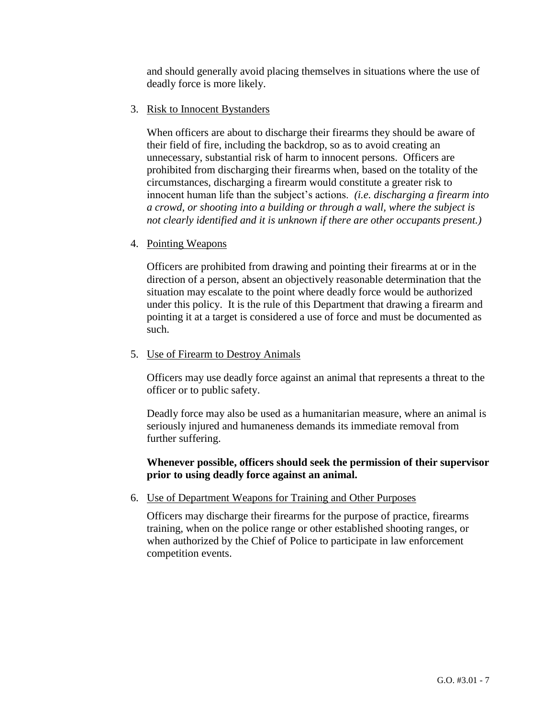and should generally avoid placing themselves in situations where the use of deadly force is more likely.

3. Risk to Innocent Bystanders

When officers are about to discharge their firearms they should be aware of their field of fire, including the backdrop, so as to avoid creating an unnecessary, substantial risk of harm to innocent persons. Officers are prohibited from discharging their firearms when, based on the totality of the circumstances, discharging a firearm would constitute a greater risk to innocent human life than the subject's actions. *(i.e. discharging a firearm into a crowd, or shooting into a building or through a wall, where the subject is not clearly identified and it is unknown if there are other occupants present.)*

4. Pointing Weapons

Officers are prohibited from drawing and pointing their firearms at or in the direction of a person, absent an objectively reasonable determination that the situation may escalate to the point where deadly force would be authorized under this policy. It is the rule of this Department that drawing a firearm and pointing it at a target is considered a use of force and must be documented as such.

5. Use of Firearm to Destroy Animals

Officers may use deadly force against an animal that represents a threat to the officer or to public safety.

Deadly force may also be used as a humanitarian measure, where an animal is seriously injured and humaneness demands its immediate removal from further suffering.

### **Whenever possible, officers should seek the permission of their supervisor prior to using deadly force against an animal.**

6. Use of Department Weapons for Training and Other Purposes

Officers may discharge their firearms for the purpose of practice, firearms training, when on the police range or other established shooting ranges, or when authorized by the Chief of Police to participate in law enforcement competition events.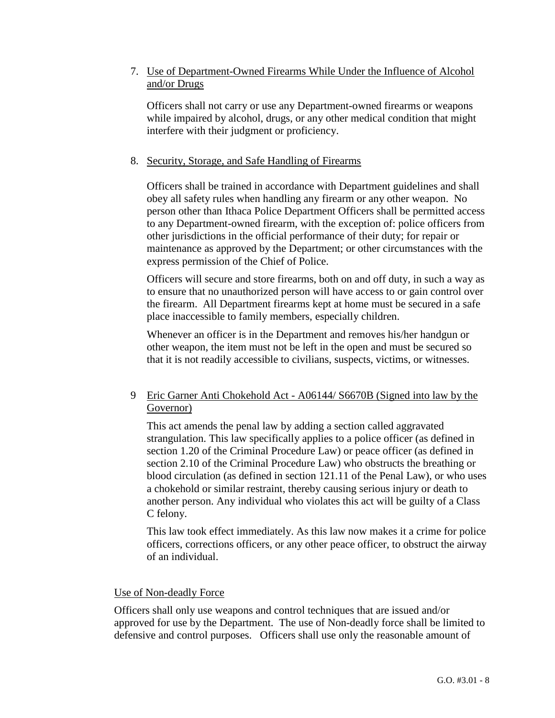### 7. Use of Department-Owned Firearms While Under the Influence of Alcohol and/or Drugs

Officers shall not carry or use any Department-owned firearms or weapons while impaired by alcohol, drugs, or any other medical condition that might interfere with their judgment or proficiency.

#### 8. Security, Storage, and Safe Handling of Firearms

Officers shall be trained in accordance with Department guidelines and shall obey all safety rules when handling any firearm or any other weapon. No person other than Ithaca Police Department Officers shall be permitted access to any Department-owned firearm, with the exception of: police officers from other jurisdictions in the official performance of their duty; for repair or maintenance as approved by the Department; or other circumstances with the express permission of the Chief of Police.

Officers will secure and store firearms, both on and off duty, in such a way as to ensure that no unauthorized person will have access to or gain control over the firearm. All Department firearms kept at home must be secured in a safe place inaccessible to family members, especially children.

Whenever an officer is in the Department and removes his/her handgun or other weapon, the item must not be left in the open and must be secured so that it is not readily accessible to civilians, suspects, victims, or witnesses.

### 9 Eric Garner Anti Chokehold Act - A06144/ S6670B (Signed into law by the Governor)

This act amends the penal law by adding a section called aggravated strangulation. This law specifically applies to a police officer (as defined in section 1.20 of the Criminal Procedure Law) or peace officer (as defined in section 2.10 of the Criminal Procedure Law) who obstructs the breathing or blood circulation (as defined in section 121.11 of the Penal Law), or who uses a chokehold or similar restraint, thereby causing serious injury or death to another person. Any individual who violates this act will be guilty of a Class C felony.

This law took effect immediately. As this law now makes it a crime for police officers, corrections officers, or any other peace officer, to obstruct the airway of an individual.

#### Use of Non-deadly Force

Officers shall only use weapons and control techniques that are issued and/or approved for use by the Department. The use of Non-deadly force shall be limited to defensive and control purposes. Officers shall use only the reasonable amount of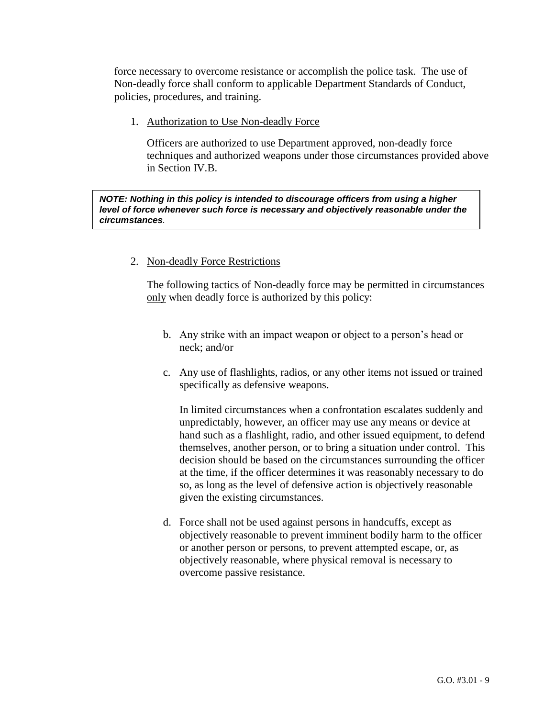force necessary to overcome resistance or accomplish the police task. The use of Non-deadly force shall conform to applicable Department Standards of Conduct, policies, procedures, and training.

1. Authorization to Use Non-deadly Force

Officers are authorized to use Department approved, non-deadly force techniques and authorized weapons under those circumstances provided above in Section IV.B.

*NOTE: Nothing in this policy is intended to discourage officers from using a higher level of force whenever such force is necessary and objectively reasonable under the circumstances.*

### 2. Non-deadly Force Restrictions

The following tactics of Non-deadly force may be permitted in circumstances only when deadly force is authorized by this policy:

- b. Any strike with an impact weapon or object to a person's head or neck; and/or
- c. Any use of flashlights, radios, or any other items not issued or trained specifically as defensive weapons.

In limited circumstances when a confrontation escalates suddenly and unpredictably, however, an officer may use any means or device at hand such as a flashlight, radio, and other issued equipment, to defend themselves, another person, or to bring a situation under control. This decision should be based on the circumstances surrounding the officer at the time, if the officer determines it was reasonably necessary to do so, as long as the level of defensive action is objectively reasonable given the existing circumstances.

d. Force shall not be used against persons in handcuffs, except as objectively reasonable to prevent imminent bodily harm to the officer or another person or persons, to prevent attempted escape, or, as objectively reasonable, where physical removal is necessary to overcome passive resistance.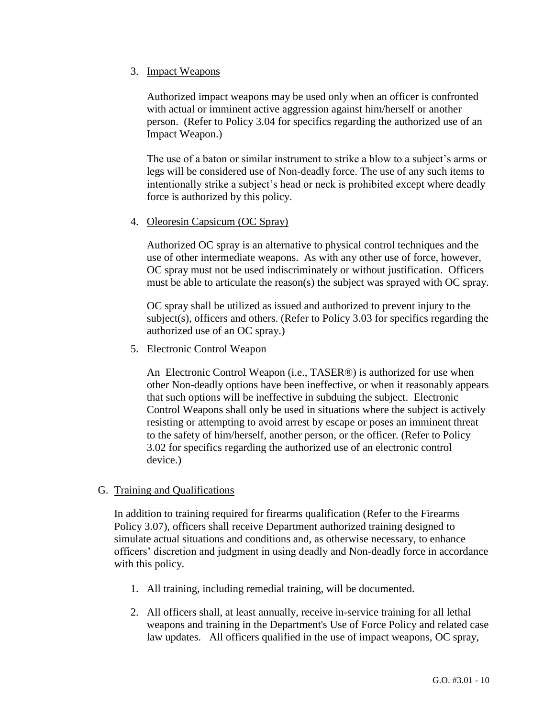#### 3. Impact Weapons

Authorized impact weapons may be used only when an officer is confronted with actual or imminent active aggression against him/herself or another person. (Refer to Policy 3.04 for specifics regarding the authorized use of an Impact Weapon.)

The use of a baton or similar instrument to strike a blow to a subject's arms or legs will be considered use of Non-deadly force. The use of any such items to intentionally strike a subject's head or neck is prohibited except where deadly force is authorized by this policy.

#### 4. Oleoresin Capsicum (OC Spray)

Authorized OC spray is an alternative to physical control techniques and the use of other intermediate weapons. As with any other use of force, however, OC spray must not be used indiscriminately or without justification. Officers must be able to articulate the reason(s) the subject was sprayed with OC spray.

OC spray shall be utilized as issued and authorized to prevent injury to the subject(s), officers and others. (Refer to Policy 3.03 for specifics regarding the authorized use of an OC spray.)

5. Electronic Control Weapon

An Electronic Control Weapon (i.e., TASER®) is authorized for use when other Non-deadly options have been ineffective, or when it reasonably appears that such options will be ineffective in subduing the subject. Electronic Control Weapons shall only be used in situations where the subject is actively resisting or attempting to avoid arrest by escape or poses an imminent threat to the safety of him/herself, another person, or the officer. (Refer to Policy 3.02 for specifics regarding the authorized use of an electronic control device.)

#### G. Training and Qualifications

In addition to training required for firearms qualification (Refer to the Firearms Policy 3.07), officers shall receive Department authorized training designed to simulate actual situations and conditions and, as otherwise necessary, to enhance officers' discretion and judgment in using deadly and Non-deadly force in accordance with this policy.

- 1. All training, including remedial training, will be documented.
- 2. All officers shall, at least annually, receive in-service training for all lethal weapons and training in the Department's Use of Force Policy and related case law updates. All officers qualified in the use of impact weapons, OC spray,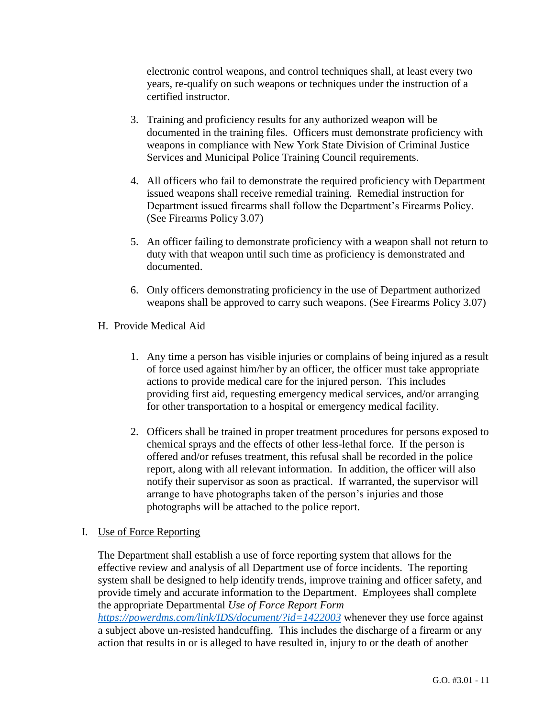electronic control weapons, and control techniques shall, at least every two years, re-qualify on such weapons or techniques under the instruction of a certified instructor.

- 3. Training and proficiency results for any authorized weapon will be documented in the training files. Officers must demonstrate proficiency with weapons in compliance with New York State Division of Criminal Justice Services and Municipal Police Training Council requirements.
- 4. All officers who fail to demonstrate the required proficiency with Department issued weapons shall receive remedial training. Remedial instruction for Department issued firearms shall follow the Department's Firearms Policy. (See Firearms Policy 3.07)
- 5. An officer failing to demonstrate proficiency with a weapon shall not return to duty with that weapon until such time as proficiency is demonstrated and documented.
- 6. Only officers demonstrating proficiency in the use of Department authorized weapons shall be approved to carry such weapons. (See Firearms Policy 3.07)

# H. Provide Medical Aid

- 1. Any time a person has visible injuries or complains of being injured as a result of force used against him/her by an officer, the officer must take appropriate actions to provide medical care for the injured person. This includes providing first aid, requesting emergency medical services, and/or arranging for other transportation to a hospital or emergency medical facility.
- 2. Officers shall be trained in proper treatment procedures for persons exposed to chemical sprays and the effects of other less-lethal force. If the person is offered and/or refuses treatment, this refusal shall be recorded in the police report, along with all relevant information. In addition, the officer will also notify their supervisor as soon as practical. If warranted, the supervisor will arrange to have photographs taken of the person's injuries and those photographs will be attached to the police report.

# I. Use of Force Reporting

The Department shall establish a use of force reporting system that allows for the effective review and analysis of all Department use of force incidents. The reporting system shall be designed to help identify trends, improve training and officer safety, and provide timely and accurate information to the Department. Employees shall complete the appropriate Departmental *Use of Force Report Form* 

*<https://powerdms.com/link/IDS/document/?id=1422003>* whenever they use force against a subject above un-resisted handcuffing. This includes the discharge of a firearm or any action that results in or is alleged to have resulted in, injury to or the death of another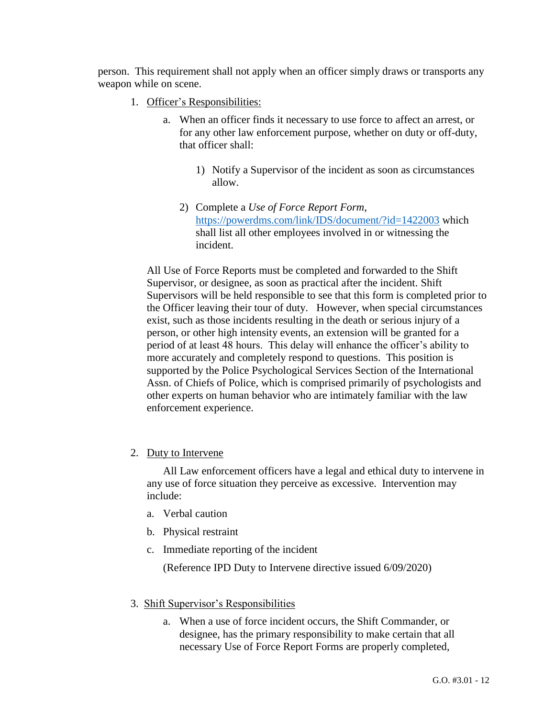person. This requirement shall not apply when an officer simply draws or transports any weapon while on scene.

- 1. Officer's Responsibilities:
	- a. When an officer finds it necessary to use force to affect an arrest, or for any other law enforcement purpose, whether on duty or off-duty, that officer shall:
		- 1) Notify a Supervisor of the incident as soon as circumstances allow.
		- 2) Complete a *Use of Force Report Form*, <https://powerdms.com/link/IDS/document/?id=1422003> which shall list all other employees involved in or witnessing the incident.

All Use of Force Reports must be completed and forwarded to the Shift Supervisor, or designee, as soon as practical after the incident. Shift Supervisors will be held responsible to see that this form is completed prior to the Officer leaving their tour of duty. However, when special circumstances exist, such as those incidents resulting in the death or serious injury of a person, or other high intensity events, an extension will be granted for a period of at least 48 hours. This delay will enhance the officer's ability to more accurately and completely respond to questions. This position is supported by the Police Psychological Services Section of the International Assn. of Chiefs of Police, which is comprised primarily of psychologists and other experts on human behavior who are intimately familiar with the law enforcement experience.

2. Duty to Intervene

All Law enforcement officers have a legal and ethical duty to intervene in any use of force situation they perceive as excessive. Intervention may include:

- a. Verbal caution
- b. Physical restraint
- c. Immediate reporting of the incident

(Reference IPD Duty to Intervene directive issued 6/09/2020)

- 3. Shift Supervisor's Responsibilities
	- a. When a use of force incident occurs, the Shift Commander, or designee, has the primary responsibility to make certain that all necessary Use of Force Report Forms are properly completed,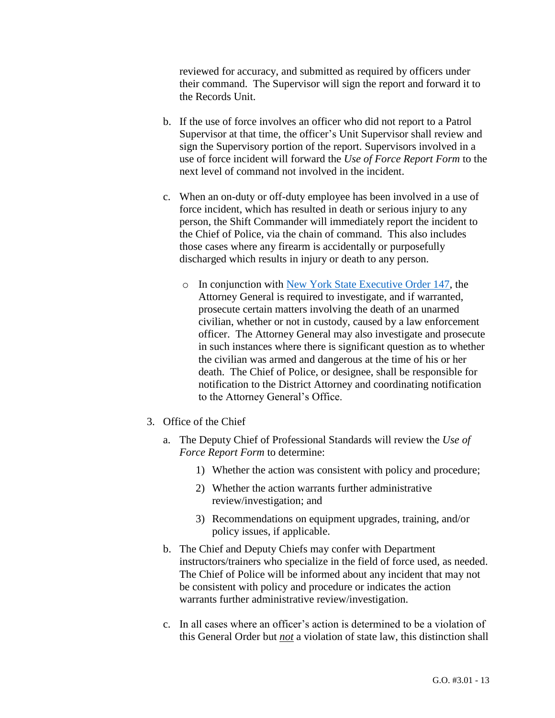reviewed for accuracy, and submitted as required by officers under their command. The Supervisor will sign the report and forward it to the Records Unit.

- b. If the use of force involves an officer who did not report to a Patrol Supervisor at that time, the officer's Unit Supervisor shall review and sign the Supervisory portion of the report. Supervisors involved in a use of force incident will forward the *Use of Force Report Form* to the next level of command not involved in the incident.
- c. When an on-duty or off-duty employee has been involved in a use of force incident, which has resulted in death or serious injury to any person, the Shift Commander will immediately report the incident to the Chief of Police, via the chain of command. This also includes those cases where any firearm is accidentally or purposefully discharged which results in injury or death to any person.
	- o In conjunction with [New York State Executive Order 147,](https://www.governor.ny.gov/sites/governor.ny.gov/files/atoms/old-files/EO147.pdf) the Attorney General is required to investigate, and if warranted, prosecute certain matters involving the death of an unarmed civilian, whether or not in custody, caused by a law enforcement officer. The Attorney General may also investigate and prosecute in such instances where there is significant question as to whether the civilian was armed and dangerous at the time of his or her death. The Chief of Police, or designee, shall be responsible for notification to the District Attorney and coordinating notification to the Attorney General's Office.
- 3. Office of the Chief
	- a. The Deputy Chief of Professional Standards will review the *Use of Force Report Form* to determine:
		- 1) Whether the action was consistent with policy and procedure;
		- 2) Whether the action warrants further administrative review/investigation; and
		- 3) Recommendations on equipment upgrades, training, and/or policy issues, if applicable.
	- b. The Chief and Deputy Chiefs may confer with Department instructors/trainers who specialize in the field of force used, as needed. The Chief of Police will be informed about any incident that may not be consistent with policy and procedure or indicates the action warrants further administrative review/investigation.
	- c. In all cases where an officer's action is determined to be a violation of this General Order but *not* a violation of state law, this distinction shall